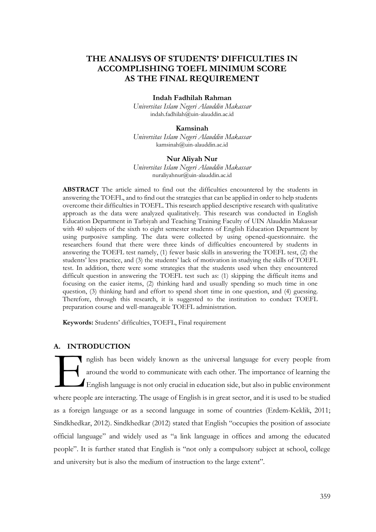# **THE ANALISYS OF STUDENTS' DIFFICULTIES IN ACCOMPLISHING TOEFL MINIMUM SCORE AS THE FINAL REQUIREMENT**

#### **Indah Fadhilah Rahman**

*Universitas Islam Negeri Alauddin Makassar* [indah.fadhilah@uin-alauddin.ac.id](mailto:indah.fadhilah@uin-alauddin.ac.id)

## **Kamsinah**

*Universitas Islam Negeri Alauddin Makassar* [kamsinah@uin-alauddin.ac.id](mailto:kamsinah@uin-alauddin.ac.id)

#### **Nur Aliyah Nur**

*Universitas Islam Negeri Alauddin Makassar* nuraliyahnur@uin-alauddin.ac.id

**ABSTRACT** The article aimed to find out the difficulties encountered by the students in answering the TOEFL, and to find out the strategies that can be applied in order to help students overcome their difficulties in TOEFL. This research applied descriptive research with qualitative approach as the data were analyzed qualitatively. This research was conducted in English Education Department in Tarbiyah and Teaching Training Faculty of UIN Alauddin Makassar with 40 subjects of the sixth to eight semester students of English Education Department by using purposive sampling. The data were collected by using opened-questionnaire. the researchers found that there were three kinds of difficulties encountered by students in answering the TOEFL test namely, (1) fewer basic skills in answering the TOEFL test, (2) the students' less practice, and (3) the students' lack of motivation in studying the skills of TOEFL test. In addition, there were some strategies that the students used when they encountered difficult question in answering the TOEFL test such as: (1) skipping the difficult items and focusing on the easier items, (2) thinking hard and usually spending so much time in one question, (3) thinking hard and effort to spend short time in one question, and (4) guessing. Therefore, through this research, it is suggested to the institution to conduct TOEFL preparation course and well-manageable TOEFL administration.

**Keywords:** Students' difficulties, TOEFL, Final requirement

# **A. INTRODUCTION**

nglish has been widely known as the universal language for every people from around the world to communicate with each other. The importance of learning the English language is not only crucial in education side, but also in public environment where people are interacting. The usage of English is in great sector, and it is used to be studied as a foreign language or as a second language in some of countries (Erdem-Keklik, 2011; Sindkhedkar, 2012). Sindkhedkar (2012) stated that English "occupies the position of associate official language" and widely used as "a link language in offices and among the educated people". It is further stated that English is "not only a compulsory subject at school, college and university but is also the medium of instruction to the large extent".  $\mathbf{H}$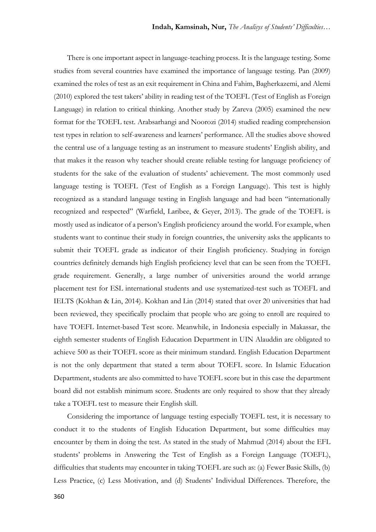There is one important aspect in language-teaching process. It is the language testing. Some studies from several countries have examined the importance of language testing. Pan (2009) examined the roles of test as an exit requirement in China and Fahim, Bagherkazemi, and Alemi (2010) explored the test takers' ability in reading test of the TOEFL (Test of English as Foreign Language) in relation to critical thinking. Another study by Zareva (2005) examined the new format for the TOEFL test. Arabsarhangi and Noorozi (2014) studied reading comprehension test types in relation to self-awareness and learners' performance. All the studies above showed the central use of a language testing as an instrument to measure students' English ability, and that makes it the reason why teacher should create reliable testing for language proficiency of students for the sake of the evaluation of students' achievement. The most commonly used language testing is TOEFL (Test of English as a Foreign Language). This test is highly recognized as a standard language testing in English language and had been "internationally recognized and respected" (Warfield, Laribee, & Geyer, 2013). The grade of the TOEFL is mostly used as indicator of a person's English proficiency around the world. For example, when students want to continue their study in foreign countries, the university asks the applicants to submit their TOEFL grade as indicator of their English proficiency. Studying in foreign countries definitely demands high English proficiency level that can be seen from the TOEFL grade requirement. Generally, a large number of universities around the world arrange placement test for ESL international students and use systematized-test such as TOEFL and IELTS (Kokhan & Lin, 2014). Kokhan and Lin (2014) stated that over 20 universities that had been reviewed, they specifically proclaim that people who are going to enroll are required to have TOEFL Internet-based Test score. Meanwhile, in Indonesia especially in Makassar, the eighth semester students of English Education Department in UIN Alauddin are obligated to achieve 500 as their TOEFL score as their minimum standard. English Education Department is not the only department that stated a term about TOEFL score. In Islamic Education Department, students are also committed to have TOEFL score but in this case the department board did not establish minimum score. Students are only required to show that they already take a TOEFL test to measure their English skill.

Considering the importance of language testing especially TOEFL test, it is necessary to conduct it to the students of English Education Department, but some difficulties may encounter by them in doing the test. As stated in the study of Mahmud (2014) about the EFL students' problems in Answering the Test of English as a Foreign Language (TOEFL), difficulties that students may encounter in taking TOEFL are such as: (a) Fewer Basic Skills, (b) Less Practice, (c) Less Motivation, and (d) Students' Individual Differences. Therefore, the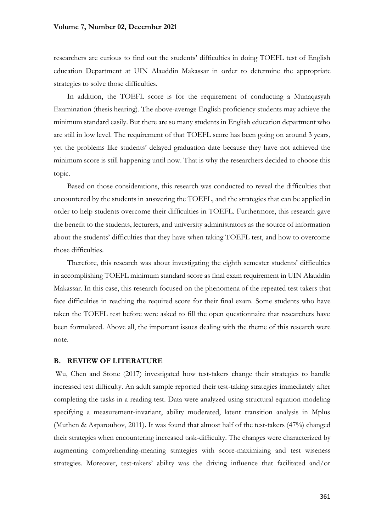researchers are curious to find out the students' difficulties in doing TOEFL test of English education Department at UIN Alauddin Makassar in order to determine the appropriate strategies to solve those difficulties.

In addition, the TOEFL score is for the requirement of conducting a Munaqasyah Examination (thesis hearing). The above-average English proficiency students may achieve the minimum standard easily. But there are so many students in English education department who are still in low level. The requirement of that TOEFL score has been going on around 3 years, yet the problems like students' delayed graduation date because they have not achieved the minimum score is still happening until now. That is why the researchers decided to choose this topic.

Based on those considerations, this research was conducted to reveal the difficulties that encountered by the students in answering the TOEFL, and the strategies that can be applied in order to help students overcome their difficulties in TOEFL. Furthermore, this research gave the benefit to the students, lecturers, and university administrators as the source of information about the students' difficulties that they have when taking TOEFL test, and how to overcome those difficulties.

Therefore, this research was about investigating the eighth semester students' difficulties in accomplishing TOEFL minimum standard score as final exam requirement in UIN Alauddin Makassar. In this case, this research focused on the phenomena of the repeated test takers that face difficulties in reaching the required score for their final exam. Some students who have taken the TOEFL test before were asked to fill the open questionnaire that researchers have been formulated. Above all, the important issues dealing with the theme of this research were note.

# **B. REVIEW OF LITERATURE**

Wu, Chen and Stone (2017) investigated how test-takers change their strategies to handle increased test difficulty. An adult sample reported their test-taking strategies immediately after completing the tasks in a reading test. Data were analyzed using structural equation modeling specifying a measurement-invariant, ability moderated, latent transition analysis in Mplus (Muthen & Asparouhov, 2011). It was found that almost half of the test-takers (47%) changed their strategies when encountering increased task-difficulty. The changes were characterized by augmenting comprehending-meaning strategies with score-maximizing and test wiseness strategies. Moreover, test-takers' ability was the driving influence that facilitated and/or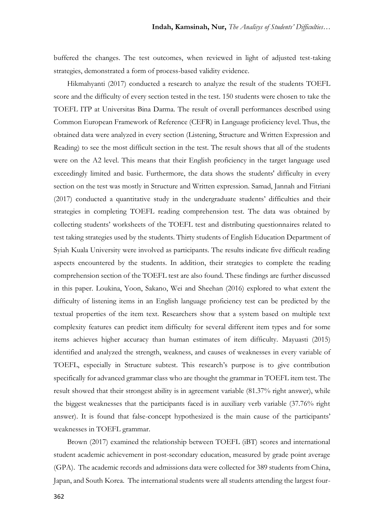buffered the changes. The test outcomes, when reviewed in light of adjusted test-taking strategies, demonstrated a form of process-based validity evidence.

Hikmahyanti (2017) conducted a research to analyze the result of the students TOEFL score and the difficulty of every section tested in the test. 150 students were chosen to take the TOEFL ITP at Universitas Bina Darma. The result of overall performances described using Common European Framework of Reference (CEFR) in Language proficiency level. Thus, the obtained data were analyzed in every section (Listening, Structure and Written Expression and Reading) to see the most difficult section in the test. The result shows that all of the students were on the A2 level. This means that their English proficiency in the target language used exceedingly limited and basic. Furthermore, the data shows the students' difficulty in every section on the test was mostly in Structure and Written expression. Samad, Jannah and Fitriani (2017) conducted a quantitative study in the undergraduate students' difficulties and their strategies in completing TOEFL reading comprehension test. The data was obtained by collecting students' worksheets of the TOEFL test and distributing questionnaires related to test taking strategies used by the students. Thirty students of English Education Department of Syiah Kuala University were involved as participants. The results indicate five difficult reading aspects encountered by the students. In addition, their strategies to complete the reading comprehension section of the TOEFL test are also found. These findings are further discussed in this paper. Loukina, Yoon, Sakano, Wei and Sheehan (2016) explored to what extent the difficulty of listening items in an English language proficiency test can be predicted by the textual properties of the item text. Researchers show that a system based on multiple text complexity features can predict item difficulty for several different item types and for some items achieves higher accuracy than human estimates of item difficulty. Mayuasti (2015) identified and analyzed the strength, weakness, and causes of weaknesses in every variable of TOEFL, especially in Structure subtest. This research's purpose is to give contribution specifically for advanced grammar class who are thought the grammar in TOEFL item test. The result showed that their strongest ability is in agreement variable (81.37% right answer), while the biggest weaknesses that the participants faced is in auxiliary verb variable (37.76% right answer). It is found that false-concept hypothesized is the main cause of the participants' weaknesses in TOEFL grammar.

Brown (2017) examined the relationship between TOEFL (iBT) scores and international student academic achievement in post-secondary education, measured by grade point average (GPA). The academic records and admissions data were collected for 389 students from China, Japan, and South Korea. The international students were all students attending the largest four-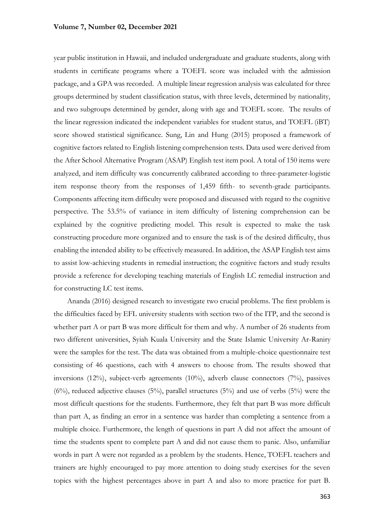year public institution in Hawaii, and included undergraduate and graduate students, along with students in certificate programs where a TOEFL score was included with the admission package, and a GPA was recorded. A multiple linear regression analysis was calculated for three groups determined by student classification status, with three levels, determined by nationality, and two subgroups determined by gender, along with age and TOEFL score. The results of the linear regression indicated the independent variables for student status, and TOEFL (iBT) score showed statistical significance. Sung, Lin and Hung (2015) proposed a framework of cognitive factors related to English listening comprehension tests. Data used were derived from the After School Alternative Program (ASAP) English test item pool. A total of 150 items were analyzed, and item difficulty was concurrently calibrated according to three-parameter-logistic item response theory from the responses of 1,459 fifth- to seventh-grade participants. Components affecting item difficulty were proposed and discussed with regard to the cognitive perspective. The 53.5% of variance in item difficulty of listening comprehension can be explained by the cognitive predicting model. This result is expected to make the task constructing procedure more organized and to ensure the task is of the desired difficulty, thus enabling the intended ability to be effectively measured. In addition, the ASAP English test aims to assist low-achieving students in remedial instruction; the cognitive factors and study results provide a reference for developing teaching materials of English LC remedial instruction and for constructing LC test items.

Ananda (2016) designed research to investigate two crucial problems. The first problem is the difficulties faced by EFL university students with section two of the ITP, and the second is whether part A or part B was more difficult for them and why. A number of 26 students from two different universities, Syiah Kuala University and the State Islamic University Ar-Raniry were the samples for the test. The data was obtained from a multiple-choice questionnaire test consisting of 46 questions, each with 4 answers to choose from. The results showed that inversions (12%), subject-verb agreements (10%), adverb clause connectors (7%), passives  $(6\%)$ , reduced adjective clauses  $(5\%)$ , parallel structures  $(5\%)$  and use of verbs  $(5\%)$  were the most difficult questions for the students. Furthermore, they felt that part B was more difficult than part A, as finding an error in a sentence was harder than completing a sentence from a multiple choice. Furthermore, the length of questions in part A did not affect the amount of time the students spent to complete part A and did not cause them to panic. Also, unfamiliar words in part A were not regarded as a problem by the students. Hence, TOEFL teachers and trainers are highly encouraged to pay more attention to doing study exercises for the seven topics with the highest percentages above in part A and also to more practice for part B.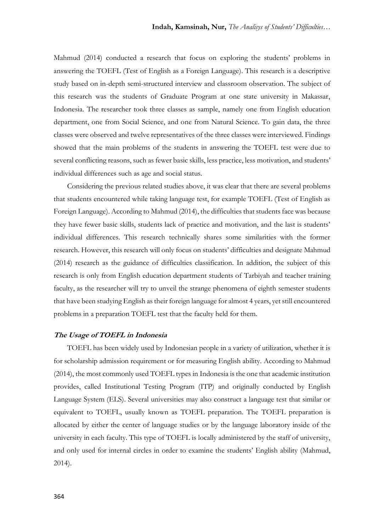Mahmud (2014) conducted a research that focus on exploring the students' problems in answering the TOEFL (Test of English as a Foreign Language). This research is a descriptive study based on in-depth semi-structured interview and classroom observation. The subject of this research was the students of Graduate Program at one state university in Makassar, Indonesia. The researcher took three classes as sample, namely one from English education department, one from Social Science, and one from Natural Science. To gain data, the three classes were observed and twelve representatives of the three classes were interviewed. Findings showed that the main problems of the students in answering the TOEFL test were due to several conflicting reasons, such as fewer basic skills, less practice, less motivation, and students' individual differences such as age and social status.

Considering the previous related studies above, it was clear that there are several problems that students encountered while taking language test, for example TOEFL (Test of English as Foreign Language). According to Mahmud (2014), the difficulties that students face was because they have fewer basic skills, students lack of practice and motivation, and the last is students' individual differences. This research technically shares some similarities with the former research. However, this research will only focus on students' difficulties and designate Mahmud (2014) research as the guidance of difficulties classification. In addition, the subject of this research is only from English education department students of Tarbiyah and teacher training faculty, as the researcher will try to unveil the strange phenomena of eighth semester students that have been studying English as their foreign language for almost 4 years, yet still encountered problems in a preparation TOEFL test that the faculty held for them.

# **The Usage of TOEFL in Indonesia**

TOEFL has been widely used by Indonesian people in a variety of utilization, whether it is for scholarship admission requirement or for measuring English ability. According to Mahmud (2014), the most commonly used TOEFL types in Indonesia is the one that academic institution provides, called Institutional Testing Program (ITP) and originally conducted by English Language System (ELS). Several universities may also construct a language test that similar or equivalent to TOEFL, usually known as TOEFL preparation. The TOEFL preparation is allocated by either the center of language studies or by the language laboratory inside of the university in each faculty. This type of TOEFL is locally administered by the staff of university, and only used for internal circles in order to examine the students' English ability (Mahmud, 2014).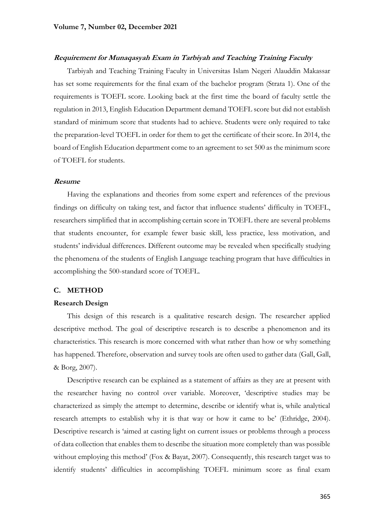#### **Requirement for Munaqasyah Exam in Tarbiyah and Teaching Training Faculty**

Tarbiyah and Teaching Training Faculty in Universitas Islam Negeri Alauddin Makassar has set some requirements for the final exam of the bachelor program (Strata 1). One of the requirements is TOEFL score. Looking back at the first time the board of faculty settle the regulation in 2013, English Education Department demand TOEFL score but did not establish standard of minimum score that students had to achieve. Students were only required to take the preparation-level TOEFL in order for them to get the certificate of their score. In 2014, the board of English Education department come to an agreement to set 500 as the minimum score of TOEFL for students.

#### **Resume**

Having the explanations and theories from some expert and references of the previous findings on difficulty on taking test, and factor that influence students' difficulty in TOEFL, researchers simplified that in accomplishing certain score in TOEFL there are several problems that students encounter, for example fewer basic skill, less practice, less motivation, and students' individual differences. Different outcome may be revealed when specifically studying the phenomena of the students of English Language teaching program that have difficulties in accomplishing the 500-standard score of TOEFL.

# **C. METHOD**

# **Research Design**

This design of this research is a qualitative research design. The researcher applied descriptive method. The goal of descriptive research is to describe a phenomenon and its characteristics. This research is more concerned with what rather than how or why something has happened. Therefore, observation and survey tools are often used to gather data (Gall, Gall, & Borg, 2007).

Descriptive research can be explained as a statement of affairs as they are at present with the researcher having no control over variable. Moreover, 'descriptive studies may be characterized as simply the attempt to determine, describe or identify what is, while analytical research attempts to establish why it is that way or how it came to be' (Ethridge, 2004). Descriptive research is 'aimed at casting light on current issues or problems through a process of data collection that enables them to describe the situation more completely than was possible without employing this method' (Fox & Bayat, 2007). Consequently, this research target was to identify students' difficulties in accomplishing TOEFL minimum score as final exam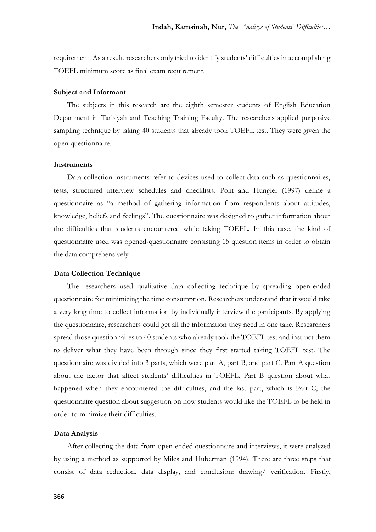requirement. As a result, researchers only tried to identify students' difficulties in accomplishing TOEFL minimum score as final exam requirement.

#### **Subject and Informant**

The subjects in this research are the eighth semester students of English Education Department in Tarbiyah and Teaching Training Faculty. The researchers applied purposive sampling technique by taking 40 students that already took TOEFL test. They were given the open questionnaire.

# **Instruments**

Data collection instruments refer to devices used to collect data such as questionnaires, tests, structured interview schedules and checklists. Polit and Hungler (1997) define a questionnaire as "a method of gathering information from respondents about attitudes, knowledge, beliefs and feelings". The questionnaire was designed to gather information about the difficulties that students encountered while taking TOEFL. In this case, the kind of questionnaire used was opened-questionnaire consisting 15 question items in order to obtain the data comprehensively.

## **Data Collection Technique**

The researchers used qualitative data collecting technique by spreading open-ended questionnaire for minimizing the time consumption. Researchers understand that it would take a very long time to collect information by individually interview the participants. By applying the questionnaire, researchers could get all the information they need in one take. Researchers spread those questionnaires to 40 students who already took the TOEFL test and instruct them to deliver what they have been through since they first started taking TOEFL test. The questionnaire was divided into 3 parts, which were part A, part B, and part C. Part A question about the factor that affect students' difficulties in TOEFL. Part B question about what happened when they encountered the difficulties, and the last part, which is Part C, the questionnaire question about suggestion on how students would like the TOEFL to be held in order to minimize their difficulties.

# **Data Analysis**

After collecting the data from open-ended questionnaire and interviews, it were analyzed by using a method as supported by Miles and Huberman (1994). There are three steps that consist of data reduction, data display, and conclusion: drawing/ verification. Firstly,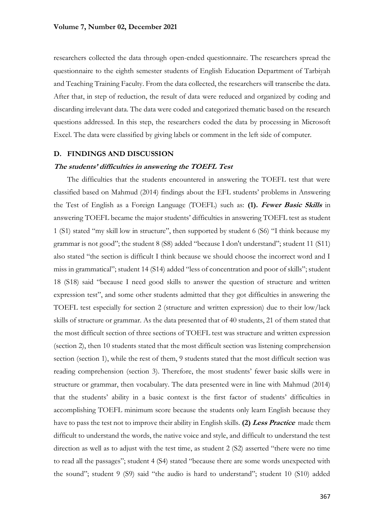researchers collected the data through open-ended questionnaire. The researchers spread the questionnaire to the eighth semester students of English Education Department of Tarbiyah and Teaching Training Faculty. From the data collected, the researchers will transcribe the data. After that, in step of reduction, the result of data were reduced and organized by coding and discarding irrelevant data. The data were coded and categorized thematic based on the research questions addressed. In this step, the researchers coded the data by processing in Microsoft Excel. The data were classified by giving labels or comment in the left side of computer.

### **D. FINDINGS AND DISCUSSION**

### **The students' difficulties in answering the TOEFL Test**

The difficulties that the students encountered in answering the TOEFL test that were classified based on Mahmud (2014) findings about the EFL students' problems in Answering the Test of English as a Foreign Language (TOEFL) such as: **(1). Fewer Basic Skills** in answering TOEFL became the major students' difficulties in answering TOEFL test as student 1 (S1) stated "my skill low in structure", then supported by student 6 (S6) "I think because my grammar is not good"; the student 8 (S8) added "because I don't understand"; student 11 (S11) also stated "the section is difficult I think because we should choose the incorrect word and I miss in grammatical"; student 14 (S14) added "less of concentration and poor of skills"; student 18 (S18) said "because I need good skills to answer the question of structure and written expression test", and some other students admitted that they got difficulties in answering the TOEFL test especially for section 2 (structure and written expression) due to their low/lack skills of structure or grammar. As the data presented that of 40 students, 21 of them stated that the most difficult section of three sections of TOEFL test was structure and written expression (section 2), then 10 students stated that the most difficult section was listening comprehension section (section 1), while the rest of them, 9 students stated that the most difficult section was reading comprehension (section 3). Therefore, the most students' fewer basic skills were in structure or grammar, then vocabulary. The data presented were in line with Mahmud (2014) that the students' ability in a basic context is the first factor of students' difficulties in accomplishing TOEFL minimum score because the students only learn English because they have to pass the test not to improve their ability in English skills. **(2) Less Practice** made them difficult to understand the words, the native voice and style, and difficult to understand the test direction as well as to adjust with the test time, as student 2 (S2) asserted "there were no time to read all the passages"; student 4 (S4) stated "because there are some words unexpected with the sound"; student 9 (S9) said "the audio is hard to understand"; student 10 (S10) added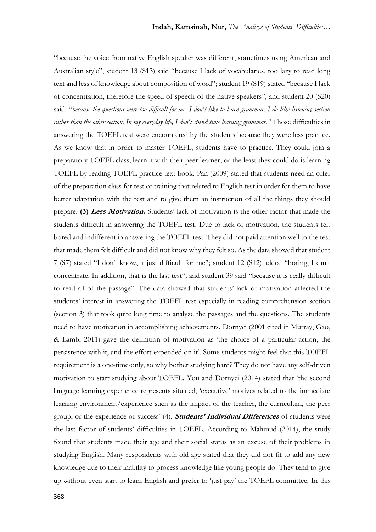"because the voice from native English speaker was different, sometimes using American and Australian style", student 13 (S13) said "because I lack of vocabularies, too lazy to read long text and less of knowledge about composition of word"; student 19 (S19) stated "because I lack of concentration, therefore the speed of speech of the native speakers"; and student 20 (S20) said: "*because the questions were too difficult for me. I don't like to learn grammar. I do like listening section rather than the other section. In my everyday life, I don't spend time learning grammar."* Those difficulties in answering the TOEFL test were encountered by the students because they were less practice. As we know that in order to master TOEFL, students have to practice. They could join a preparatory TOEFL class, learn it with their peer learner, or the least they could do is learning TOEFL by reading TOEFL practice text book. Pan (2009) stated that students need an offer of the preparation class for test or training that related to English test in order for them to have better adaptation with the test and to give them an instruction of all the things they should prepare. **(3) Less Motivation.** Students' lack of motivation is the other factor that made the students difficult in answering the TOEFL test. Due to lack of motivation, the students felt bored and indifferent in answering the TOEFL test. They did not paid attention well to the test that made them felt difficult and did not know why they felt so. As the data showed that student 7 (S7) stated "I don't know, it just difficult for me"; student 12 (S12) added "boring, I can't concentrate. In addition, that is the last test"; and student 39 said "because it is really difficult to read all of the passage". The data showed that students' lack of motivation affected the students' interest in answering the TOEFL test especially in reading comprehension section (section 3) that took quite long time to analyze the passages and the questions. The students need to have motivation in accomplishing achievements. Dornyei (2001 cited in Murray, Gao, & Lamb, 2011) gave the definition of motivation as 'the choice of a particular action, the persistence with it, and the effort expended on it'. Some students might feel that this TOEFL requirement is a one-time-only, so why bother studying hard? They do not have any self-driven motivation to start studying about TOEFL. You and Dornyei (2014) stated that 'the second language learning experience represents situated, 'executive' motives related to the immediate learning environment/experience such as the impact of the teacher, the curriculum, the peer group, or the experience of success' (4). **Students' Individual Differences** of students were the last factor of students' difficulties in TOEFL. According to Mahmud (2014), the study found that students made their age and their social status as an excuse of their problems in studying English. Many respondents with old age stated that they did not fit to add any new knowledge due to their inability to process knowledge like young people do. They tend to give up without even start to learn English and prefer to 'just pay' the TOEFL committee. In this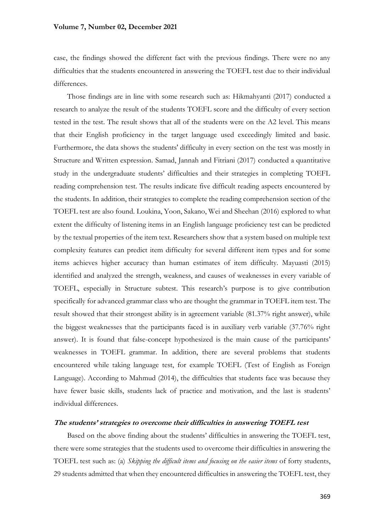case, the findings showed the different fact with the previous findings. There were no any difficulties that the students encountered in answering the TOEFL test due to their individual differences.

Those findings are in line with some research such as: Hikmahyanti (2017) conducted a research to analyze the result of the students TOEFL score and the difficulty of every section tested in the test. The result shows that all of the students were on the A2 level. This means that their English proficiency in the target language used exceedingly limited and basic. Furthermore, the data shows the students' difficulty in every section on the test was mostly in Structure and Written expression. Samad, Jannah and Fitriani (2017) conducted a quantitative study in the undergraduate students' difficulties and their strategies in completing TOEFL reading comprehension test. The results indicate five difficult reading aspects encountered by the students. In addition, their strategies to complete the reading comprehension section of the TOEFL test are also found. Loukina, Yoon, Sakano, Wei and Sheehan (2016) explored to what extent the difficulty of listening items in an English language proficiency test can be predicted by the textual properties of the item text. Researchers show that a system based on multiple text complexity features can predict item difficulty for several different item types and for some items achieves higher accuracy than human estimates of item difficulty. Mayuasti (2015) identified and analyzed the strength, weakness, and causes of weaknesses in every variable of TOEFL, especially in Structure subtest. This research's purpose is to give contribution specifically for advanced grammar class who are thought the grammar in TOEFL item test. The result showed that their strongest ability is in agreement variable (81.37% right answer), while the biggest weaknesses that the participants faced is in auxiliary verb variable (37.76% right answer). It is found that false-concept hypothesized is the main cause of the participants' weaknesses in TOEFL grammar. In addition, there are several problems that students encountered while taking language test, for example TOEFL (Test of English as Foreign Language). According to Mahmud (2014), the difficulties that students face was because they have fewer basic skills, students lack of practice and motivation, and the last is students' individual differences.

# **The students' strategies to overcome their difficulties in answering TOEFL test**

Based on the above finding about the students' difficulties in answering the TOEFL test, there were some strategies that the students used to overcome their difficulties in answering the TOEFL test such as: (a) *Skipping the difficult items and focusing on the easier items* of forty students, 29 students admitted that when they encountered difficulties in answering the TOEFL test, they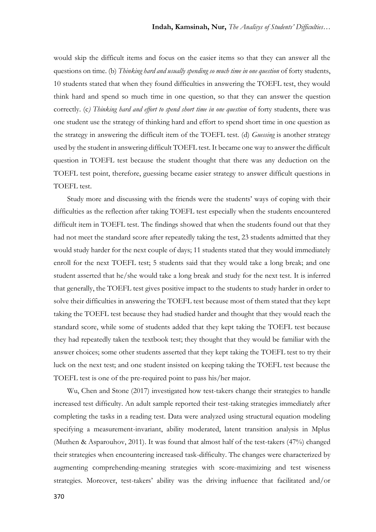would skip the difficult items and focus on the easier items so that they can answer all the questions on time. (b) *Thinking hard and usually spending so much time in one question* of forty students, 10 students stated that when they found difficulties in answering the TOEFL test, they would think hard and spend so much time in one question, so that they can answer the question correctly. (c*) Thinking hard and effort to spend short time in one question* of forty students, there was one student use the strategy of thinking hard and effort to spend short time in one question as the strategy in answering the difficult item of the TOEFL test. (d) *Guessing* is another strategy used by the student in answering difficult TOEFL test. It became one way to answer the difficult question in TOEFL test because the student thought that there was any deduction on the TOEFL test point, therefore, guessing became easier strategy to answer difficult questions in TOEFL test.

Study more and discussing with the friends were the students' ways of coping with their difficulties as the reflection after taking TOEFL test especially when the students encountered difficult item in TOEFL test. The findings showed that when the students found out that they had not meet the standard score after repeatedly taking the test, 23 students admitted that they would study harder for the next couple of days; 11 students stated that they would immediately enroll for the next TOEFL test; 5 students said that they would take a long break; and one student asserted that he/she would take a long break and study for the next test. It is inferred that generally, the TOEFL test gives positive impact to the students to study harder in order to solve their difficulties in answering the TOEFL test because most of them stated that they kept taking the TOEFL test because they had studied harder and thought that they would reach the standard score, while some of students added that they kept taking the TOEFL test because they had repeatedly taken the textbook test; they thought that they would be familiar with the answer choices; some other students asserted that they kept taking the TOEFL test to try their luck on the next test; and one student insisted on keeping taking the TOEFL test because the TOEFL test is one of the pre-required point to pass his/her major.

Wu, Chen and Stone (2017) investigated how test-takers change their strategies to handle increased test difficulty. An adult sample reported their test-taking strategies immediately after completing the tasks in a reading test. Data were analyzed using structural equation modeling specifying a measurement-invariant, ability moderated, latent transition analysis in Mplus (Muthen & Asparouhov, 2011). It was found that almost half of the test-takers (47%) changed their strategies when encountering increased task-difficulty. The changes were characterized by augmenting comprehending-meaning strategies with score-maximizing and test wiseness strategies. Moreover, test-takers' ability was the driving influence that facilitated and/or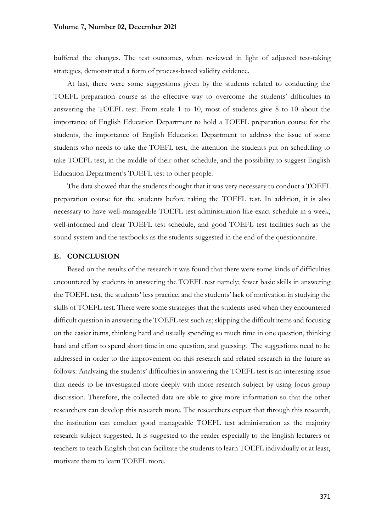buffered the changes. The test outcomes, when reviewed in light of adjusted test-taking strategies, demonstrated a form of process-based validity evidence.

At last, there were some suggestions given by the students related to conducting the TOEFL preparation course as the effective way to overcome the students' difficulties in answering the TOEFL test. From scale 1 to 10, most of students give 8 to 10 about the importance of English Education Department to hold a TOEFL preparation course for the students, the importance of English Education Department to address the issue of some students who needs to take the TOEFL test, the attention the students put on scheduling to take TOEFL test, in the middle of their other schedule, and the possibility to suggest English Education Department's TOEFL test to other people.

The data showed that the students thought that it was very necessary to conduct a TOEFL preparation course for the students before taking the TOEFL test. In addition, it is also necessary to have well-manageable TOEFL test administration like exact schedule in a week, well-informed and clear TOEFL test schedule, and good TOEFL test facilities such as the sound system and the textbooks as the students suggested in the end of the questionnaire.

# **E. CONCLUSION**

Based on the results of the research it was found that there were some kinds of difficulties encountered by students in answering the TOEFL test namely; fewer basic skills in answering the TOEFL test, the students' less practice, and the students' lack of motivation in studying the skills of TOEFL test. There were some strategies that the students used when they encountered difficult question in answering the TOEFL test such as; skipping the difficult items and focusing on the easier items, thinking hard and usually spending so much time in one question, thinking hard and effort to spend short time in one question, and guessing. The suggestions need to be addressed in order to the improvement on this research and related research in the future as follows: Analyzing the students' difficulties in answering the TOEFL test is an interesting issue that needs to be investigated more deeply with more research subject by using focus group discussion. Therefore, the collected data are able to give more information so that the other researchers can develop this research more. The researchers expect that through this research, the institution can conduct good manageable TOEFL test administration as the majority research subject suggested. It is suggested to the reader especially to the English lecturers or teachers to teach English that can facilitate the students to learn TOEFL individually or at least, motivate them to learn TOEFL more.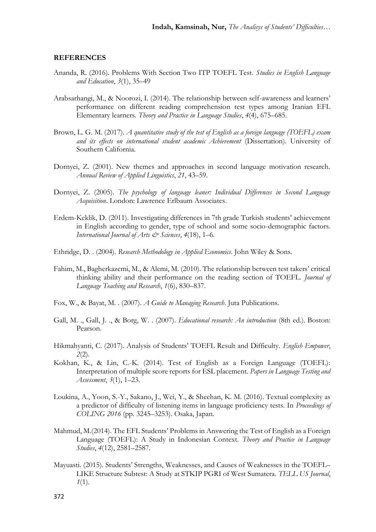#### **REFERENCES**

- Ananda, R. (2016). Problems With Section Two ITP TOEFL Test. *Studies in English Language and Education*, *3*(1), 35–49
- Arabsarhangi, M., & Noorozi, I. (2014). The relationship between self-awareness and learners' performance on different reading comprehension test types among Iranian EFL Elementary learners. *Theory and Practice in Language Studies*, *4*(4), 675–685.
- Brown, L. G. M. (2017). *A quantitative study of the test of English as a foreign language (TOEFL) exam and its effects on international student academic Achievement* (Dissertation). University of Southern California.
- Dornyei, Z. (2001). New themes and approaches in second language motivation research. *Annual Review of Applied Linguistics*, *21*, 43–59.
- Dornyei, Z. (2005). *The psychology of language leaner: Individual Differences in Second Language Acquisition*. London: Lawrence Erlbaum Associates.
- Erdem-Keklik, D. (2011). Investigating differences in 7th grade Turkish students' achievement in English according to gender, type of school and some socio-demographic factors. *International Journal of Arts & Sciences*, *4*(18), 1–6.
- Ethridge, D. . (2004). *Research Methodology in Applied Economics*. John Wiley & Sons.
- Fahim, M., Bagherkazemi, M., & Alemi, M. (2010). The relationship between test takers' critical thinking ability and their performance on the reading section of TOEFL. *Journal of Language Teaching and Research*, *1*(6), 830–837.
- Fox, W., & Bayat, M. . (2007). *A Guide to Managing Research*. Juta Publications.
- Gall, M. ., Gall, J. ., & Borg, W. . (2007). *Educational research: An introduction* (8th ed.). Boston: Pearson.
- Hikmahyanti, C. (2017). Analysis of Students' TOEFL Result and Difficulty. *English Empower*, *2*(2).
- Kokhan, K., & Lin, C.-K. (2014). Test of English as a Foreign Language (TOEFL): Interpretation of multiple score reports for ESL placement. *Papers in Language Testing and Assessment*, *3*(1), 1–23.
- Loukina, A., Yoon, S.-Y., Sakano, J., Wei, Y., & Sheehan, K. M. (2016). Textual complexity as a predictor of difficulty of listening items in language proficiency tests. In *Proceedings of COLING 2016* (pp. 3245–3253). Osaka, Japan.
- Mahmud, M.(2014). The EFL Students' Problems in Answering the Test of English as a Foreign Language (TOEFL): A Study in Indonesian Context. *Theory and Practice in Language Studies*, *4*(12), 2581–2587.
- Mayuasti. (2015). Students' Strengths, Weaknesses, and Causes of Weaknesses in the TOEFL– LIKE Structure Subtest: A Study at STKIP PGRI of West Sumatera. *TELL US Journal*, *1*(1).